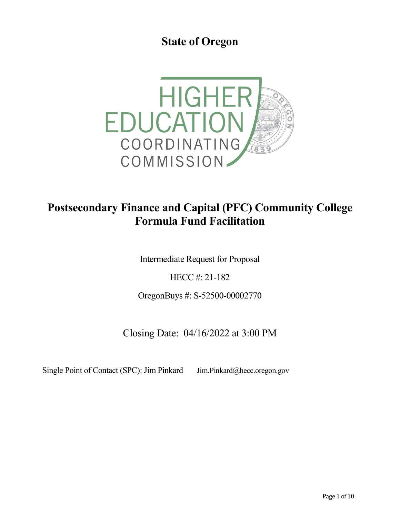**State of Oregon**



# **Postsecondary Finance and Capital (PFC) Community College Formula Fund Facilitation**

Intermediate Request for Proposal

HECC #: 21-182

OregonBuys #: S-52500-00002770

Closing Date: 04/16/2022 at 3:00 PM

Single Point of Contact (SPC): Jim Pinkard Jim.Pinkard@hecc.oregon.gov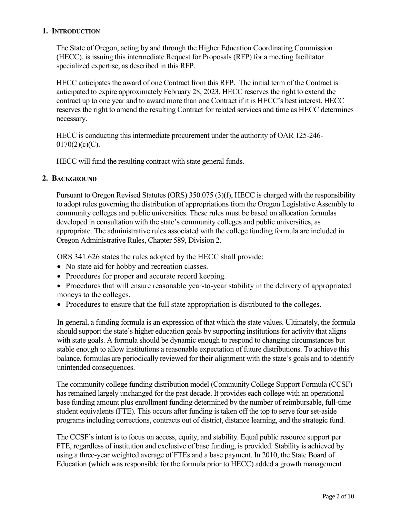## **1. INTRODUCTION**

The State of Oregon, acting by and through the Higher Education Coordinating Commission (HECC), is issuing this intermediate Request for Proposals (RFP) for a meeting facilitator specialized expertise, as described in this RFP.

HECC anticipates the award of one Contract from this RFP. The initial term of the Contract is anticipated to expire approximately February 28, 2023. HECC reserves the right to extend the contract up to one year and to award more than one Contract if it is HECC's best interest. HECC reserves the right to amend the resulting Contract for related services and time as HECC determines necessary.

HECC is conducting this intermediate procurement under the authority of OAR 125-246-  $0170(2)(c)(C)$ .

HECC will fund the resulting contract with state general funds.

#### **2. BACKGROUND**

Pursuant to Oregon Revised Statutes (ORS) 350.075 (3)(f), HECC is charged with the responsibility to adopt rules governing the distribution of appropriations from the Oregon Legislative Assembly to community colleges and public universities. These rules must be based on allocation formulas developed in consultation with the state's community colleges and public universities, as appropriate. The administrative rules associated with the college funding formula are included in Oregon Administrative Rules, Chapter 589, Division 2.

ORS 341.626 states the rules adopted by the HECC shall provide:

- No state aid for hobby and recreation classes.
- Procedures for proper and accurate record keeping.
- Procedures that will ensure reasonable year-to-year stability in the delivery of appropriated moneys to the colleges.
- Procedures to ensure that the full state appropriation is distributed to the colleges.

In general, a funding formula is an expression of that which the state values. Ultimately, the formula should support the state's higher education goals by supporting institutions for activity that aligns with state goals. A formula should be dynamic enough to respond to changing circumstances but stable enough to allow institutions a reasonable expectation of future distributions. To achieve this balance, formulas are periodically reviewed for their alignment with the state's goals and to identify unintended consequences.

The community college funding distribution model (Community College Support Formula (CCSF) has remained largely unchanged for the past decade. It provides each college with an operational base funding amount plus enrollment funding determined by the number of reimbursable, full-time student equivalents (FTE). This occurs after funding is taken off the top to serve four set-aside programs including corrections, contracts out of district, distance learning, and the strategic fund.

The CCSF's intent is to focus on access, equity, and stability. Equal public resource support per FTE, regardless of institution and exclusive of base funding, is provided. Stability is achieved by using a three-year weighted average of FTEs and a base payment. In 2010, the State Board of Education (which was responsible for the formula prior to HECC) added a growth management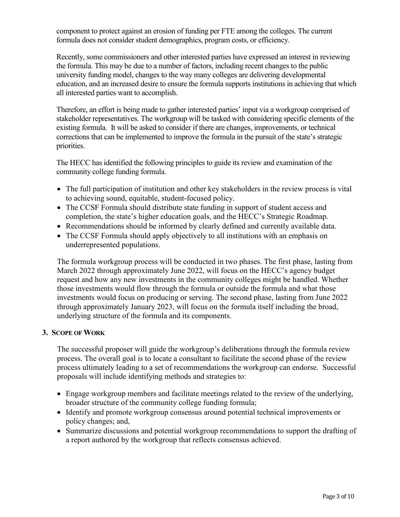component to protect against an erosion of funding per FTE among the colleges. The current formula does not consider student demographics, program costs, or efficiency.

Recently, some commissioners and other interested parties have expressed an interest in reviewing the formula. This may be due to a number of factors, including recent changes to the public university funding model, changes to the way many colleges are delivering developmental education, and an increased desire to ensure the formula supports institutions in achieving that which all interested parties want to accomplish.

Therefore, an effort is being made to gather interested parties' input via a workgroup comprised of stakeholder representatives. The workgroup will be tasked with considering specific elements of the existing formula. It will be asked to consider if there are changes, improvements, or technical corrections that can be implemented to improve the formula in the pursuit of the state's strategic priorities.

The HECC has identified the following principles to guide its review and examination of the community college funding formula.

- The full participation of institution and other key stakeholders in the review process is vital to achieving sound, equitable, student-focused policy.
- The CCSF Formula should distribute state funding in support of student access and completion, the state's higher education goals, and the HECC's Strategic Roadmap.
- Recommendations should be informed by clearly defined and currently available data.
- The CCSF Formula should apply objectively to all institutions with an emphasis on underrepresented populations.

The formula workgroup process will be conducted in two phases. The first phase, lasting from March 2022 through approximately June 2022, will focus on the HECC's agency budget request and how any new investments in the community colleges might be handled. Whether those investments would flow through the formula or outside the formula and what those investments would focus on producing or serving. The second phase, lasting from June 2022 through approximately January 2023, will focus on the formula itself including the broad, underlying structure of the formula and its components.

### **3. SCOPE OF WORK**

The successful proposer will guide the workgroup's deliberations through the formula review process. The overall goal is to locate a consultant to facilitate the second phase of the review process ultimately leading to a set of recommendations the workgroup can endorse. Successful proposals will include identifying methods and strategies to:

- Engage workgroup members and facilitate meetings related to the review of the underlying, broader structure of the community college funding formula;
- Identify and promote workgroup consensus around potential technical improvements or policy changes; and,
- Summarize discussions and potential workgroup recommendations to support the drafting of a report authored by the workgroup that reflects consensus achieved.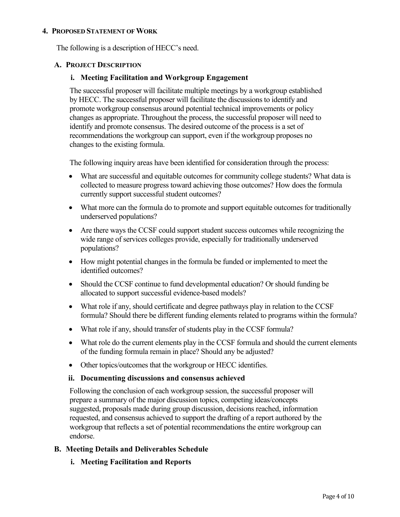#### **4. PROPOSED STATEMENT OF WORK**

The following is a description of HECC's need.

#### **A. PROJECT DESCRIPTION**

#### **i. Meeting Facilitation and Workgroup Engagement**

The successful proposer will facilitate multiple meetings by a workgroup established by HECC. The successful proposer will facilitate the discussions to identify and promote workgroup consensus around potential technical improvements or policy changes as appropriate. Throughout the process, the successful proposer will need to identify and promote consensus. The desired outcome of the process is a set of recommendations the workgroup can support, even if the workgroup proposes no changes to the existing formula.

The following inquiry areas have been identified for consideration through the process:

- What are successful and equitable outcomes for community college students? What data is collected to measure progress toward achieving those outcomes? How does the formula currently support successful student outcomes?
- What more can the formula do to promote and support equitable outcomes for traditionally underserved populations?
- Are there ways the CCSF could support student success outcomes while recognizing the wide range of services colleges provide, especially for traditionally underserved populations?
- How might potential changes in the formula be funded or implemented to meet the identified outcomes?
- Should the CCSF continue to fund developmental education? Or should funding be allocated to support successful evidence-based models?
- What role if any, should certificate and degree pathways play in relation to the CCSF formula? Should there be different funding elements related to programs within the formula?
- What role if any, should transfer of students play in the CCSF formula?
- What role do the current elements play in the CCSF formula and should the current elements of the funding formula remain in place? Should any be adjusted?
- Other topics/outcomes that the workgroup or HECC identifies.

#### **ii. Documenting discussions and consensus achieved**

Following the conclusion of each workgroup session, the successful proposer will prepare a summary of the major discussion topics, competing ideas/concepts suggested, proposals made during group discussion, decisions reached, information requested, and consensus achieved to support the drafting of a report authored by the workgroup that reflects a set of potential recommendations the entire workgroup can endorse.

### **B. Meeting Details and Deliverables Schedule**

**i. Meeting Facilitation and Reports**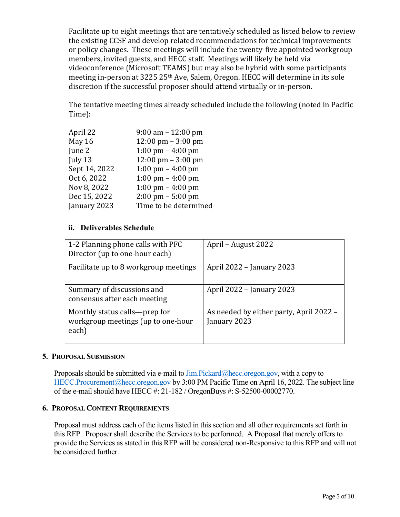Facilitate up to eight meetings that are tentatively scheduled as listed below to review the existing CCSF and develop related recommendations for technical improvements or policy changes. These meetings will include the twenty-five appointed workgroup members, invited guests, and HECC staff. Meetings will likely be held via videoconference (Microsoft TEAMS) but may also be hybrid with some participants meeting in-person at 3225 25th Ave, Salem, Oregon. HECC will determine in its sole discretion if the successful proposer should attend virtually or in-person.

The tentative meeting times already scheduled include the following (noted in Pacific Time):

| April 22      | $9:00$ am $-12:00$ pm                |
|---------------|--------------------------------------|
| May 16        | $12:00 \text{ pm} - 3:00 \text{ pm}$ |
| June 2        | $1:00 \text{ pm} - 4:00 \text{ pm}$  |
| July 13       | $12:00 \text{ pm} - 3:00 \text{ pm}$ |
| Sept 14, 2022 | 1:00 pm $-$ 4:00 pm                  |
| Oct 6, 2022   | 1:00 pm $-$ 4:00 pm                  |
| Nov 8, 2022   | 1:00 pm $-$ 4:00 pm                  |
| Dec 15, 2022  | $2:00 \text{ pm} - 5:00 \text{ pm}$  |
| January 2023  | Time to be determined                |
|               |                                      |

# **ii. Deliverables Schedule**

| 1-2 Planning phone calls with PFC<br>Director (up to one-hour each)          | April - August 2022                                     |
|------------------------------------------------------------------------------|---------------------------------------------------------|
| Facilitate up to 8 workgroup meetings                                        | April 2022 - January 2023                               |
| Summary of discussions and<br>consensus after each meeting                   | April 2022 - January 2023                               |
| Monthly status calls—prep for<br>workgroup meetings (up to one-hour<br>each) | As needed by either party, April 2022 –<br>January 2023 |

### **5. PROPOSAL SUBMISSION**

Proposals should be submitted via e-mail to  $\lim P$ *ickard* $@$  hecc.oregon.gov, with a copy to [HECC.Procurement@hecc.oregon.gov](mailto:HECC.Procurement@hecc.oregon.gov) by 3:00 PM Pacific Time on April 16, 2022. The subject line of the e-mail should have HECC #: 21-182 / OregonBuys #: S-52500-00002770.

# **6. PROPOSAL CONTENT REQUIREMENTS**

Proposal must address each of the items listed in this section and all other requirements set forth in this RFP. Proposer shall describe the Services to be performed. A Proposal that merely offers to provide the Services as stated in this RFP will be considered non-Responsive to this RFP and will not be considered further.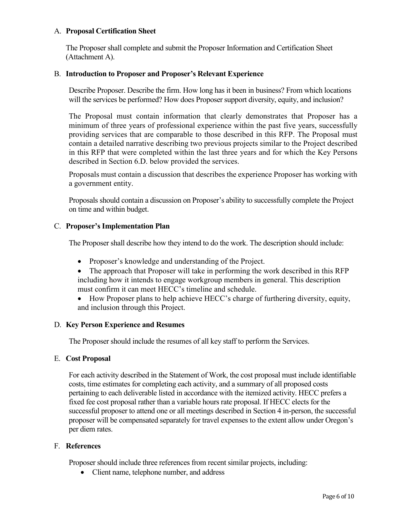## A. **Proposal Certification Sheet**

The Proposer shall complete and submit the Proposer Information and Certification Sheet (Attachment A).

### B. **Introduction to Proposer and Proposer's Relevant Experience**

Describe Proposer. Describe the firm. How long has it been in business? From which locations will the services be performed? How does Proposer support diversity, equity, and inclusion?

The Proposal must contain information that clearly demonstrates that Proposer has a minimum of three years of professional experience within the past five years, successfully providing services that are comparable to those described in this RFP. The Proposal must contain a detailed narrative describing two previous projects similar to the Project described in this RFP that were completed within the last three years and for which the Key Persons described in Section 6.D. below provided the services.

Proposals must contain a discussion that describes the experience Proposer has working with a government entity.

Proposals should contain a discussion on Proposer's ability to successfully complete the Project on time and within budget.

### C. **Proposer's Implementation Plan**

The Proposer shall describe how they intend to do the work. The description should include:

- Proposer's knowledge and understanding of the Project.
- The approach that Proposer will take in performing the work described in this RFP including how it intends to engage workgroup members in general. This description must confirm it can meet HECC's timeline and schedule.
- How Proposer plans to help achieve HECC's charge of furthering diversity, equity, and inclusion through this Project.

## D. **Key Person Experience and Resumes**

The Proposer should include the resumes of all key staff to perform the Services.

### E. **Cost Proposal**

For each activity described in the Statement of Work, the cost proposal must include identifiable costs, time estimates for completing each activity, and a summary of all proposed costs pertaining to each deliverable listed in accordance with the itemized activity. HECC prefers a fixed fee cost proposal rather than a variable hours rate proposal. If HECC elects for the successful proposer to attend one or all meetings described in Section 4 in-person, the successful proposer will be compensated separately for travel expenses to the extent allow under Oregon's per diem rates.

### F. **References**

Proposer should include three references from recent similar projects, including:

• Client name, telephone number, and address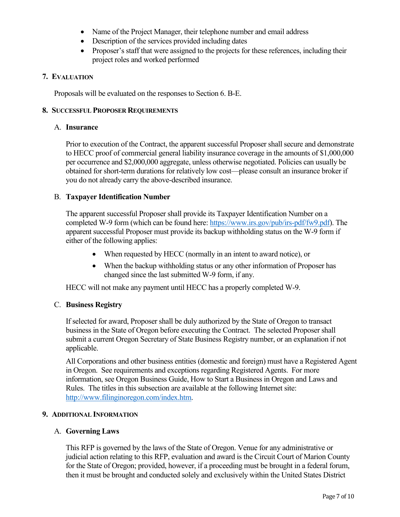- Name of the Project Manager, their telephone number and email address
- Description of the services provided including dates
- Proposer's staff that were assigned to the projects for these references, including their project roles and worked performed

## **7. EVALUATION**

Proposals will be evaluated on the responses to Section 6. B-E.

### **8. SUCCESSFUL PROPOSER REQUIREMENTS**

### A. **Insurance**

Prior to execution of the Contract, the apparent successful Proposer shall secure and demonstrate to HECC proof of commercial general liability insurance coverage in the amounts of \$1,000,000 per occurrence and \$2,000,000 aggregate, unless otherwise negotiated. Policies can usually be obtained for short-term durations for relatively low cost—please consult an insurance broker if you do not already carry the above-described insurance.

### B. **Taxpayer Identification Number**

The apparent successful Proposer shall provide its Taxpayer Identification Number on a completed W-9 form (which can be found here: [https://www.irs.gov/pub/irs-pdf/fw9.pdf\)](https://www.irs.gov/pub/irs-pdf/fw9.pdf). The apparent successful Proposer must provide its backup withholding status on the W-9 form if either of the following applies:

- When requested by HECC (normally in an intent to award notice), or
- When the backup withholding status or any other information of Proposer has changed since the last submitted W-9 form, if any.

HECC will not make any payment until HECC has a properly completed W-9.

### C. **Business Registry**

If selected for award, Proposer shall be duly authorized by the State of Oregon to transact business in the State of Oregon before executing the Contract. The selected Proposer shall submit a current Oregon Secretary of State Business Registry number, or an explanation if not applicable.

All Corporations and other business entities (domestic and foreign) must have a Registered Agent in Oregon. See requirements and exceptions regarding Registered Agents. For more information, see Oregon Business Guide, How to Start a Business in Oregon and Laws and Rules. The titles in this subsection are available at the following Internet site: [http://www.filinginoregon.com/index.htm.](http://www.filinginoregon.com/index.htm)

### **9. ADDITIONAL INFORMATION**

### A. **Governing Laws**

This RFP is governed by the laws of the State of Oregon. Venue for any administrative or judicial action relating to this RFP, evaluation and award is the Circuit Court of Marion County for the State of Oregon; provided, however, if a proceeding must be brought in a federal forum, then it must be brought and conducted solely and exclusively within the United States District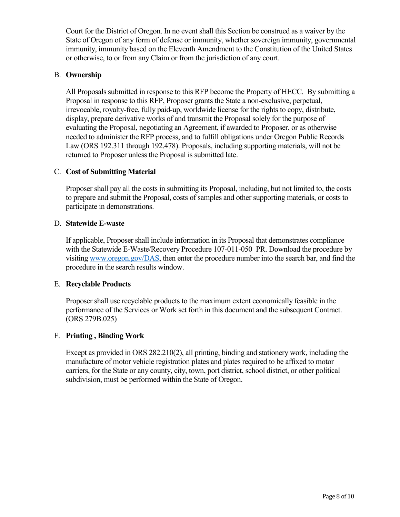Court for the District of Oregon. In no event shall this Section be construed as a waiver by the State of Oregon of any form of defense or immunity, whether sovereign immunity, governmental immunity, immunity based on the Eleventh Amendment to the Constitution of the United States or otherwise, to or from any Claim or from the jurisdiction of any court.

## B. **Ownership**

All Proposals submitted in response to this RFP become the Property of HECC. By submitting a Proposal in response to this RFP, Proposer grants the State a non-exclusive, perpetual, irrevocable, royalty-free, fully paid-up, worldwide license for the rights to copy, distribute, display, prepare derivative works of and transmit the Proposal solely for the purpose of evaluating the Proposal, negotiating an Agreement, if awarded to Proposer, or as otherwise needed to administer the RFP process, and to fulfill obligations under Oregon Public Records Law (ORS 192.311 through 192.478). Proposals, including supporting materials, will not be returned to Proposer unless the Proposal is submitted late.

## C. **Cost of Submitting Material**

Proposer shall pay all the costs in submitting its Proposal, including, but not limited to, the costs to prepare and submit the Proposal, costs of samples and other supporting materials, or costs to participate in demonstrations.

### D. **Statewide E-waste**

If applicable, Proposer shall include information in its Proposal that demonstrates compliance with the Statewide E-Waste/Recovery Procedure 107-011-050 PR. Download the procedure by visitin[g www.oregon.gov/DAS,](http://www.oregon.gov/DAS) then enter the procedure number into the search bar, and find the procedure in the search results window.

### E. **Recyclable Products**

Proposer shall use recyclable products to the maximum extent economically feasible in the performance of the Services or Work set forth in this document and the subsequent Contract. (ORS 279B.025)

### F. **Printing , Binding Work**

Except as provided in ORS 282.210(2), all printing, binding and stationery work, including the manufacture of motor vehicle registration plates and plates required to be affixed to motor carriers, for the State or any county, city, town, port district, school district, or other political subdivision, must be performed within the State of Oregon.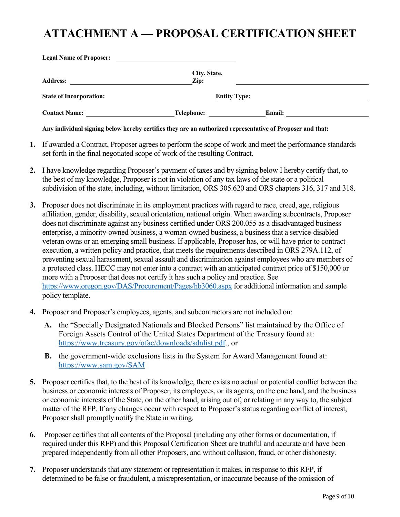# **ATTACHMENT A — PROPOSAL CERTIFICATION SHEET**

| <b>Legal Name of Proposer:</b>                                                           |                 |               |
|------------------------------------------------------------------------------------------|-----------------|---------------|
|                                                                                          | City, State,    |               |
| <b>Address:</b>                                                                          | $\mathbf{Zip:}$ |               |
| <b>State of Incorporation:</b><br><u> 1980 - Jan Samuel Barbara, politik a politik (</u> | Entity Type:    |               |
| <b>Contact Name:</b>                                                                     | Telephone:      | <b>Email:</b> |

**Any individual signing below hereby certifies they are an authorized representative of Proposer and that:**

- **1.** If awarded a Contract, Proposer agrees to perform the scope of work and meet the performance standards set forth in the final negotiated scope of work of the resulting Contract.
- **2.** I have knowledge regarding Proposer's payment of taxes and by signing below I hereby certify that, to the best of my knowledge, Proposer is not in violation of any tax laws of the state or a political subdivision of the state, including, without limitation, ORS 305.620 and ORS chapters 316, 317 and 318.
- **3.** Proposer does not discriminate in its employment practices with regard to race, creed, age, religious affiliation, gender, disability, sexual orientation, national origin. When awarding subcontracts, Proposer does not discriminate against any business certified under ORS 200.055 as a disadvantaged business enterprise, a minority-owned business, a woman-owned business, a business that a service-disabled veteran owns or an emerging small business. If applicable, Proposer has, or will have prior to contract execution, a written policy and practice, that meets the requirements described in ORS 279A.112, of preventing sexual harassment, sexual assault and discrimination against employees who are members of a protected class. HECC may not enter into a contract with an anticipated contract price of \$150,000 or more with a Proposer that does not certify it has such a policy and practice. See <https://www.oregon.gov/DAS/Procurement/Pages/hb3060.aspx> for additional information and sample policy template.
- **4.** Proposer and Proposer's employees, agents, and subcontractors are not included on:
	- **A.** the "Specially Designated Nationals and Blocked Persons" list maintained by the Office of Foreign Assets Control of the United States Department of the Treasury found at: [https://www.treasury.gov/ofac/downloads/sdnlist.pdf.](https://www.treasury.gov/ofac/downloads/sdnlist.pdf), or
	- **B.** the government-wide exclusions lists in the System for Award Management found at: <https://www.sam.gov/SAM>
- **5.** Proposer certifies that, to the best of its knowledge, there exists no actual or potential conflict between the business or economic interests of Proposer, its employees, or its agents, on the one hand, and the business or economic interests of the State, on the other hand, arising out of, or relating in any way to, the subject matter of the RFP. If any changes occur with respect to Proposer's status regarding conflict of interest, Proposer shall promptly notify the State in writing.
- **6.** Proposer certifies that all contents of the Proposal (including any other forms or documentation, if required under this RFP) and this Proposal Certification Sheet are truthful and accurate and have been prepared independently from all other Proposers, and without collusion, fraud, or other dishonesty.
- **7.** Proposer understands that any statement or representation it makes, in response to this RFP, if determined to be false or fraudulent, a misrepresentation, or inaccurate because of the omission of